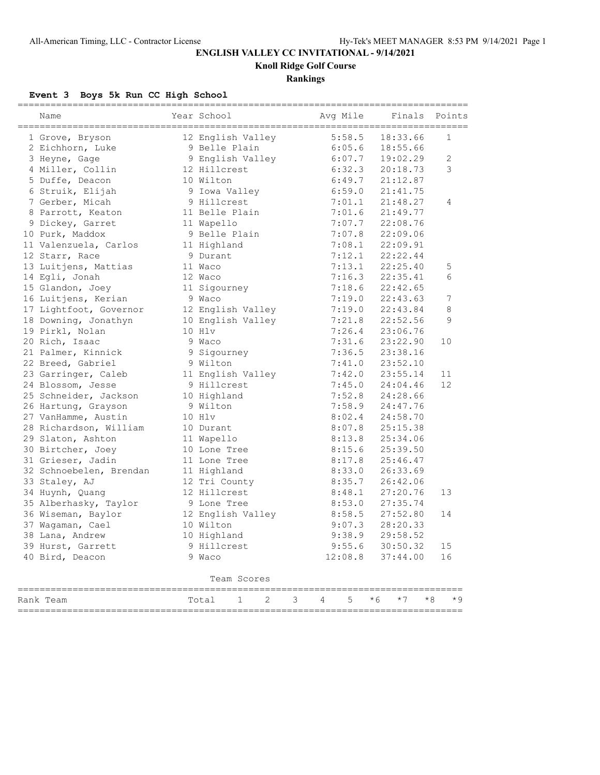# **ENGLISH VALLEY CC INVITATIONAL - 9/14/2021**

**Knoll Ridge Golf Course**

## **Rankings**

### **Event 3 Boys 5k Run CC High School**

| Name                    | Year School                  | Avg Mile    | Finals       | Points         |
|-------------------------|------------------------------|-------------|--------------|----------------|
| 1 Grove, Bryson         | 12 English Valley            | 5:58.5      | 18:33.66     | $\mathbf{1}$   |
| 2 Eichhorn, Luke        | 9 Belle Plain                | 6:05.6      | 18:55.66     |                |
| 3 Heyne, Gage           | 9 English Valley             | 6:07.7      | 19:02.29     | $\overline{c}$ |
| 4 Miller, Collin        | 12 Hillcrest                 | 6:32.3      | 20:18.73     | 3              |
| 5 Duffe, Deacon         | 10 Wilton                    | 6:49.7      | 21:12.87     |                |
| 6 Struik, Elijah        | 9 Iowa Valley                | 6:59.0      | 21:41.75     |                |
| 7 Gerber, Micah         | 9 Hillcrest                  | 7:01.1      | 21:48.27     | 4              |
| 8 Parrott, Keaton       | 11 Belle Plain               | 7:01.6      | 21:49.77     |                |
| 9 Dickey, Garret        | 11 Wapello                   | 7:07.7      | 22:08.76     |                |
| 10 Purk, Maddox         | 9 Belle Plain                | 7:07.8      | 22:09.06     |                |
| 11 Valenzuela, Carlos   | 11 Highland                  | 7:08.1      | 22:09.91     |                |
| 12 Starr, Race          | 9 Durant                     | 7:12.1      | 22:22.44     |                |
| 13 Luitjens, Mattias    | 11 Waco                      | 7:13.1      | 22:25.40     | 5              |
| 14 Egli, Jonah          | 12 Waco                      | 7:16.3      | 22:35.41     | 6              |
| 15 Glandon, Joey        | 11 Sigourney                 | 7:18.6      | 22:42.65     |                |
| 16 Luitjens, Kerian     | 9 Waco                       | 7:19.0      | 22:43.63     | 7              |
| 17 Lightfoot, Governor  | 12 English Valley            | 7:19.0      | 22:43.84     | 8              |
| 18 Downing, Jonathyn    | 10 English Valley            | 7:21.8      | 22:52.56     | 9              |
| 19 Pirkl, Nolan         | 10 Hlv                       | 7:26.4      | 23:06.76     |                |
| 20 Rich, Isaac          | 9 Waco                       | 7:31.6      | 23:22.90     | 10             |
| 21 Palmer, Kinnick      | 9 Sigourney                  | 7:36.5      | 23:38.16     |                |
| 22 Breed, Gabriel       | 9 Wilton                     | 7:41.0      | 23:52.10     |                |
| 23 Garringer, Caleb     | 11 English Valley            | 7:42.0      | 23:55.14     | 11             |
| 24 Blossom, Jesse       | 9 Hillcrest                  | 7:45.0      | 24:04.46     | 12             |
| 25 Schneider, Jackson   | 10 Highland                  | 7:52.8      | 24:28.66     |                |
| 26 Hartung, Grayson     | 9 Wilton                     | 7:58.9      | 24:47.76     |                |
| 27 VanHamme, Austin     | 10 Hlv                       | 8:02.4      | 24:58.70     |                |
| 28 Richardson, William  | 10 Durant                    | 8:07.8      | 25:15.38     |                |
| 29 Slaton, Ashton       | 11 Wapello                   | 8:13.8      | 25:34.06     |                |
| 30 Birtcher, Joey       | 10 Lone Tree                 | 8:15.6      | 25:39.50     |                |
| 31 Grieser, Jadin       | 11 Lone Tree                 | 8:17.8      | 25:46.47     |                |
| 32 Schnoebelen, Brendan | 11 Highland                  | 8:33.0      | 26:33.69     |                |
| 33 Staley, AJ           | 12 Tri County                | 8:35.7      | 26:42.06     |                |
| 34 Huynh, Quang         | 12 Hillcrest                 | 8:48.1      | 27:20.76     | 13             |
| 35 Alberhasky, Taylor   | 9 Lone Tree                  | 8:53.0      | 27:35.74     |                |
| 36 Wiseman, Baylor      | 12 English Valley            | 8:58.5      | 27:52.80     | 14             |
| 37 Wagaman, Cael        | 10 Wilton                    | 9:07.3      | 28:20.33     |                |
| 38 Lana, Andrew         | 10 Highland                  | 9:38.9      | 29:58.52     |                |
| 39 Hurst, Garrett       | 9 Hillcrest                  | 9:55.6      | 30:50.32     | 15             |
| 40 Bird, Deacon         | 9 Waco                       | 12:08.8     | 37:44.00     | 16             |
|                         | Team Scores                  |             |              |                |
| Rank Team               | $\mathfrak{D}$<br>1<br>Total | 3<br>5<br>4 | $*6$<br>$*7$ | $*8$<br>$*9$   |

=================================================================================